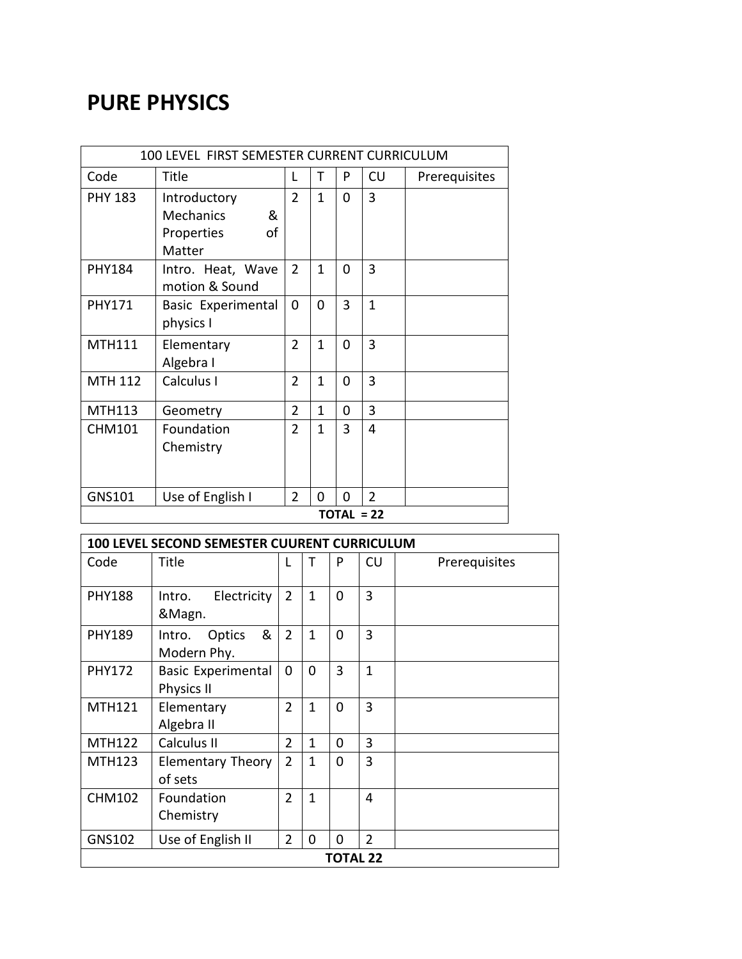## **PURE PHYSICS**

| 100 LEVEL FIRST SEMESTER CURRENT CURRICULUM |                       |                |              |   |                |               |
|---------------------------------------------|-----------------------|----------------|--------------|---|----------------|---------------|
| Code                                        | Title                 | L              | Τ            | P | CU             | Prerequisites |
| <b>PHY 183</b>                              | Introductory          | $\overline{2}$ | $\mathbf{1}$ | 0 | $\overline{3}$ |               |
|                                             | <b>Mechanics</b><br>& |                |              |   |                |               |
|                                             | οf<br>Properties      |                |              |   |                |               |
|                                             | Matter                |                |              |   |                |               |
| <b>PHY184</b>                               | Intro. Heat, Wave     | $\overline{2}$ | 1            | 0 | 3              |               |
|                                             | motion & Sound        |                |              |   |                |               |
| <b>PHY171</b>                               | Basic Experimental    | 0              | $\Omega$     | 3 | $\mathbf{1}$   |               |
|                                             | physics I             |                |              |   |                |               |
| <b>MTH111</b>                               | Elementary            | $\overline{2}$ | $\mathbf{1}$ | 0 | $\overline{3}$ |               |
|                                             | Algebra I             |                |              |   |                |               |
| <b>MTH 112</b>                              | Calculus I            | $\overline{2}$ | $\mathbf{1}$ | 0 | 3              |               |
|                                             |                       |                |              |   |                |               |
| <b>MTH113</b>                               | Geometry              | $\overline{2}$ | $\mathbf{1}$ | 0 | 3              |               |
| <b>CHM101</b>                               | Foundation            | $\overline{2}$ | 1            | 3 | 4              |               |
|                                             | Chemistry             |                |              |   |                |               |
|                                             |                       |                |              |   |                |               |
| GNS101                                      | Use of English I      | $\overline{2}$ | 0            | 0 | $\overline{2}$ |               |
| $TOTAL = 22$                                |                       |                |              |   |                |               |

| 100 LEVEL SECOND SEMESTER CUURENT CURRICULUM |                                                |                |              |             |                |               |  |
|----------------------------------------------|------------------------------------------------|----------------|--------------|-------------|----------------|---------------|--|
| Code                                         | Title                                          |                | т            | P           | CU             | Prerequisites |  |
| <b>PHY188</b>                                | Electricity<br>Intro.<br>&Magn.                | $\overline{2}$ | $\mathbf{1}$ | $\mathbf 0$ | 3              |               |  |
| <b>PHY189</b>                                | &<br>Optics<br>Intro.<br>Modern Phy.           | $\overline{2}$ | $\mathbf{1}$ | $\Omega$    | 3              |               |  |
| <b>PHY172</b>                                | <b>Basic Experimental</b><br><b>Physics II</b> | 0              | $\Omega$     | 3           | $\mathbf{1}$   |               |  |
| <b>MTH121</b>                                | Elementary<br>Algebra II                       | $\overline{2}$ | $\mathbf{1}$ | $\Omega$    | 3              |               |  |
| <b>MTH122</b>                                | Calculus II                                    | $\overline{2}$ | $\mathbf{1}$ | $\Omega$    | 3              |               |  |
| <b>MTH123</b>                                | <b>Elementary Theory</b><br>of sets            | $\overline{2}$ | $\mathbf{1}$ | $\Omega$    | 3              |               |  |
| <b>CHM102</b>                                | Foundation<br>Chemistry                        | $\overline{2}$ | 1            |             | $\overline{4}$ |               |  |
| GNS102                                       | Use of English II                              | $\overline{2}$ | $\Omega$     | 0           | $\overline{2}$ |               |  |
| <b>TOTAL 22</b>                              |                                                |                |              |             |                |               |  |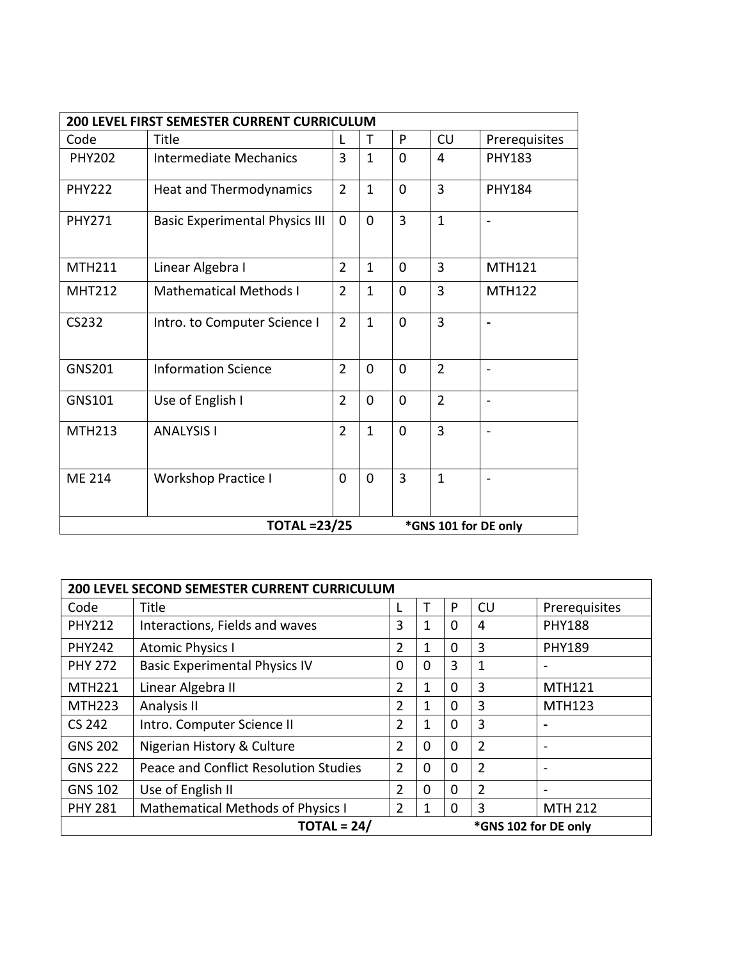| 200 LEVEL FIRST SEMESTER CURRENT CURRICULUM |                                       |                |                |                |                |                |  |
|---------------------------------------------|---------------------------------------|----------------|----------------|----------------|----------------|----------------|--|
| Code                                        | Title                                 | $\mathbf{I}$   | т              | P              | CU             | Prerequisites  |  |
| <b>PHY202</b>                               | <b>Intermediate Mechanics</b>         | 3              | $\mathbf{1}$   | $\mathbf 0$    | 4              | <b>PHY183</b>  |  |
| <b>PHY222</b>                               | <b>Heat and Thermodynamics</b>        | $\overline{2}$ | $\mathbf{1}$   | $\overline{0}$ | $\overline{3}$ | <b>PHY184</b>  |  |
| <b>PHY271</b>                               | <b>Basic Experimental Physics III</b> | 0              | 0              | $\overline{3}$ | $\mathbf{1}$   |                |  |
| MTH211                                      | Linear Algebra I                      | $\overline{2}$ | $\mathbf{1}$   | $\mathbf 0$    | $\overline{3}$ | MTH121         |  |
| <b>MHT212</b>                               | <b>Mathematical Methods I</b>         | $\overline{2}$ | $\overline{1}$ | $\mathbf 0$    | $\overline{3}$ | <b>MTH122</b>  |  |
| CS232                                       | Intro. to Computer Science I          | $\overline{2}$ | $\mathbf{1}$   | $\mathbf 0$    | $\overline{3}$ |                |  |
| <b>GNS201</b>                               | <b>Information Science</b>            | $\overline{2}$ | 0              | $\mathbf 0$    | $\overline{2}$ |                |  |
| GNS101                                      | Use of English I                      | $\overline{2}$ | 0              | $\mathbf 0$    | $\overline{2}$ |                |  |
| <b>MTH213</b>                               | <b>ANALYSIS I</b>                     | $\overline{2}$ | $\mathbf{1}$   | $\Omega$       | $\overline{3}$ | $\overline{a}$ |  |
| <b>ME 214</b>                               | <b>Workshop Practice I</b>            | 0              | $\overline{0}$ | $\overline{3}$ | $\mathbf{1}$   |                |  |
| <b>TOTAL =23/25</b><br>*GNS 101 for DE only |                                       |                |                |                |                |                |  |

| <b>200 LEVEL SECOND SEMESTER CURRENT CURRICULUM</b> |                                          |                |                |          |                |                          |  |
|-----------------------------------------------------|------------------------------------------|----------------|----------------|----------|----------------|--------------------------|--|
| Code                                                | Title                                    |                | т              | P        | CU             | Prerequisites            |  |
| <b>PHY212</b>                                       | Interactions, Fields and waves           | 3              | 1              | $\Omega$ | 4              | <b>PHY188</b>            |  |
| <b>PHY242</b>                                       | <b>Atomic Physics I</b>                  | $\overline{2}$ | 1              | $\Omega$ | 3              | <b>PHY189</b>            |  |
| <b>PHY 272</b>                                      | <b>Basic Experimental Physics IV</b>     | $\Omega$       | $\Omega$       | 3        | 1              |                          |  |
| <b>MTH221</b>                                       | Linear Algebra II                        | $\overline{2}$ | 1              | $\Omega$ | 3              | <b>MTH121</b>            |  |
| <b>MTH223</b>                                       | Analysis II                              | $\overline{2}$ | 1              | 0        | 3              | <b>MTH123</b>            |  |
| CS 242                                              | Intro. Computer Science II               | $\overline{2}$ | 1              | $\Omega$ | 3              |                          |  |
| <b>GNS 202</b>                                      | Nigerian History & Culture               | 2              | 0              | $\Omega$ | $\overline{2}$ | $\qquad \qquad$          |  |
| <b>GNS 222</b>                                      | Peace and Conflict Resolution Studies    | $\overline{2}$ | $\mathbf 0$    | $\Omega$ | $\overline{2}$ | $\overline{\phantom{m}}$ |  |
| <b>GNS 102</b>                                      | Use of English II                        | $\overline{2}$ | $\overline{0}$ | $\Omega$ | $\overline{2}$ | $\overline{\phantom{m}}$ |  |
| <b>PHY 281</b>                                      | <b>Mathematical Methods of Physics I</b> | $\overline{2}$ | 1              | $\Omega$ | 3              | <b>MTH 212</b>           |  |
| $TOTAL = 24/$<br>*GNS 102 for DE only               |                                          |                |                |          |                |                          |  |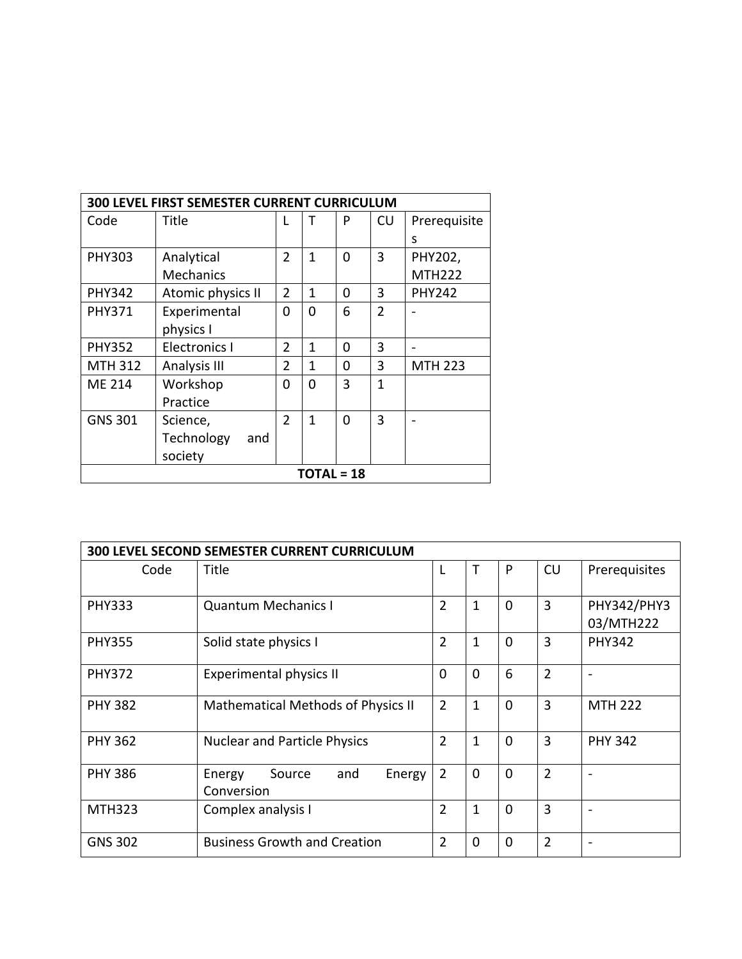| <b>300 LEVEL FIRST SEMESTER CURRENT CURRICULUM</b> |                      |                |              |   |                |                |  |
|----------------------------------------------------|----------------------|----------------|--------------|---|----------------|----------------|--|
| Code                                               | Title                |                | т            | P | CU             | Prerequisite   |  |
|                                                    |                      |                |              |   |                | S              |  |
| <b>PHY303</b>                                      | Analytical           | $\overline{2}$ | 1            | O | 3              | PHY202,        |  |
|                                                    | <b>Mechanics</b>     |                |              |   |                | <b>MTH222</b>  |  |
| <b>PHY342</b>                                      | Atomic physics II    | $\overline{2}$ | $\mathbf{1}$ | 0 | 3              | <b>PHY242</b>  |  |
| <b>PHY371</b>                                      | Experimental         | 0              | $\Omega$     | 6 | $\mathfrak{D}$ |                |  |
|                                                    | physics I            |                |              |   |                |                |  |
| <b>PHY352</b>                                      | <b>Electronics I</b> | $\overline{2}$ | $\mathbf{1}$ | 0 | 3              |                |  |
| <b>MTH 312</b>                                     | Analysis III         | $\overline{2}$ | 1            | 0 | 3              | <b>MTH 223</b> |  |
| <b>ME 214</b>                                      | Workshop             | 0              | $\Omega$     | 3 | 1              |                |  |
|                                                    | Practice             |                |              |   |                |                |  |
| <b>GNS 301</b>                                     | Science,             | $\overline{2}$ | 1            | O | 3              |                |  |
|                                                    | Technology<br>and    |                |              |   |                |                |  |
|                                                    | society              |                |              |   |                |                |  |
| <b>TOTAL = 18</b>                                  |                      |                |              |   |                |                |  |

| <b>300 LEVEL SECOND SEMESTER CURRENT CURRICULUM</b> |                                                 |                |             |              |                |                                 |  |  |
|-----------------------------------------------------|-------------------------------------------------|----------------|-------------|--------------|----------------|---------------------------------|--|--|
| Code                                                | Title                                           |                | т           | P            | CU             | Prerequisites                   |  |  |
| <b>PHY333</b>                                       | <b>Quantum Mechanics I</b>                      | $\overline{2}$ | 1           | $\mathbf 0$  | 3              | <b>PHY342/PHY3</b><br>03/MTH222 |  |  |
| <b>PHY355</b>                                       | Solid state physics I                           | 2              | 1           | $\mathbf{0}$ | 3              | <b>PHY342</b>                   |  |  |
| <b>PHY372</b>                                       | Experimental physics II                         | $\Omega$       | 0           | 6            | $\overline{2}$ |                                 |  |  |
| <b>PHY 382</b>                                      | <b>Mathematical Methods of Physics II</b>       | $\overline{2}$ | 1           | $\mathbf{0}$ | 3              | <b>MTH 222</b>                  |  |  |
| <b>PHY 362</b>                                      | <b>Nuclear and Particle Physics</b>             | $\overline{2}$ | 1           | $\mathbf 0$  | 3              | <b>PHY 342</b>                  |  |  |
| <b>PHY 386</b>                                      | Energy<br>Source<br>and<br>Energy<br>Conversion | $\overline{2}$ | $\mathbf 0$ | $\mathbf 0$  | $\overline{2}$ |                                 |  |  |
| <b>MTH323</b>                                       | Complex analysis I                              | 2              | 1           | $\mathbf{0}$ | 3              |                                 |  |  |
| <b>GNS 302</b>                                      | <b>Business Growth and Creation</b>             | 2              | 0           | $\mathbf{0}$ | $\overline{2}$ |                                 |  |  |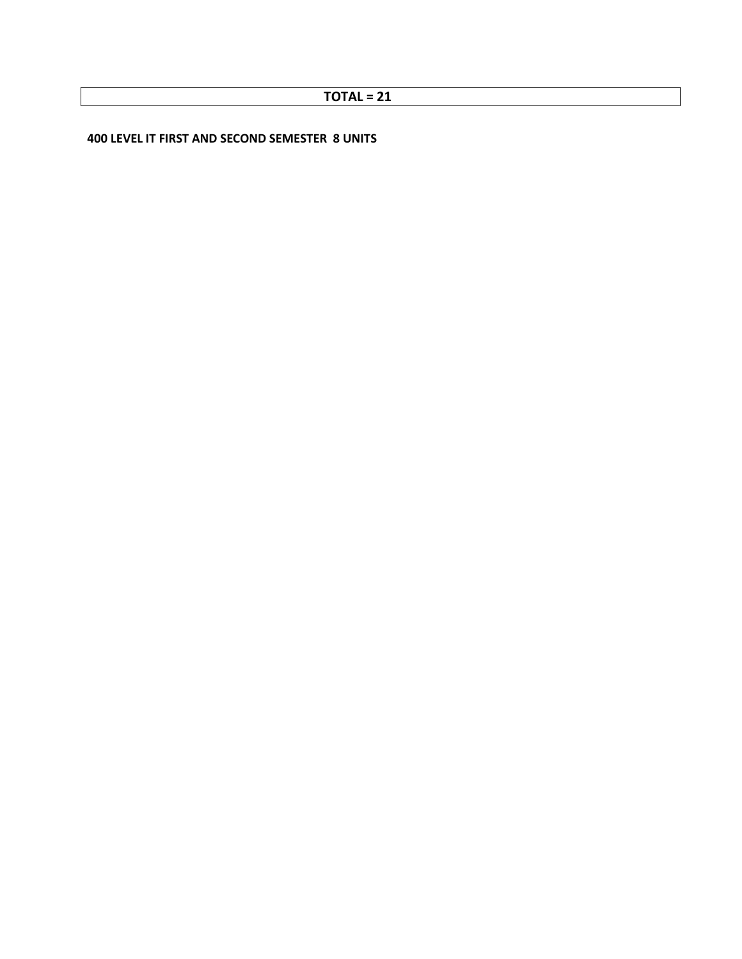**400 LEVEL IT FIRST AND SECOND SEMESTER 8 UNITS**